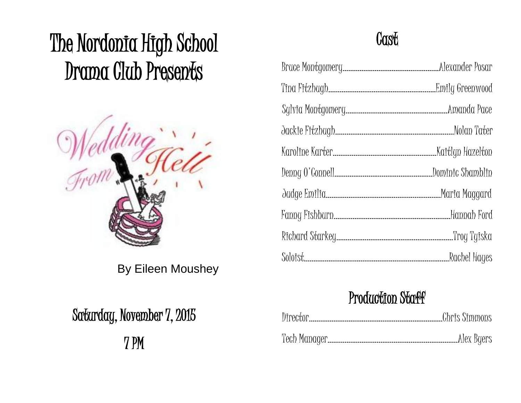# The Nordonia High School Drama Club Presents



By Eileen Moushey

# Saturday, November 7, 2015

7 PM

# **Cast**

## Production Staff